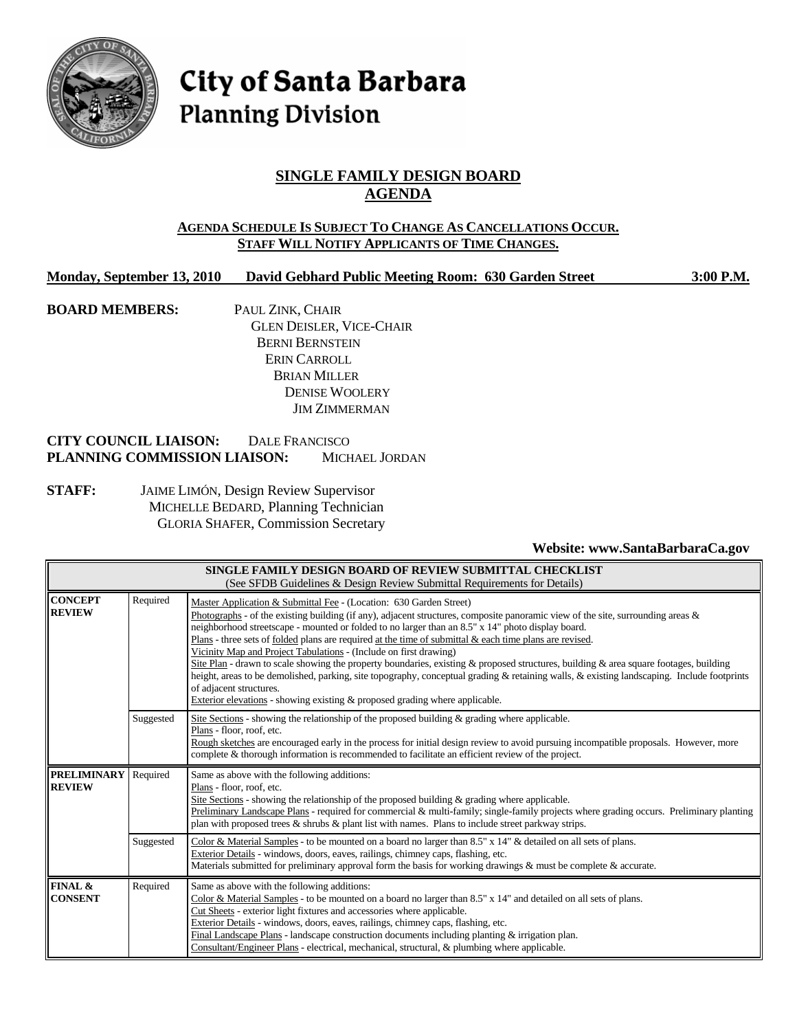

# City of Santa Barbara **Planning Division**

# **SINGLE FAMILY DESIGN BOARD AGENDA**

# **AGENDA SCHEDULE IS SUBJECT TO CHANGE AS CANCELLATIONS OCCUR. STAFF WILL NOTIFY APPLICANTS OF TIME CHANGES.**

# **Monday, September 13, 2010 David Gebhard Public Meeting Room: 630 Garden Street 3:00 P.M.**

**BOARD MEMBERS:** PAUL ZINK, CHAIR GLEN DEISLER, VICE-CHAIR BERNI BERNSTEIN ERIN CARROLL BRIAN MILLER DENISE WOOLERY JIM ZIMMERMAN

# **CITY COUNCIL LIAISON:** DALE FRANCISCO **PLANNING COMMISSION LIAISON:** MICHAEL JORDAN

**STAFF:** JAIME LIMÓN, Design Review Supervisor MICHELLE BEDARD, Planning Technician GLORIA SHAFER, Commission Secretary

## **Website: www.SantaBarbaraCa.gov**

| SINGLE FAMILY DESIGN BOARD OF REVIEW SUBMITTAL CHECKLIST<br>(See SFDB Guidelines & Design Review Submittal Requirements for Details) |           |                                                                                                                                                                                                                                                                                                                                                                                                                                                                                                                                                                                                                                                                                                                                                                                                                                                                                                   |  |  |  |
|--------------------------------------------------------------------------------------------------------------------------------------|-----------|---------------------------------------------------------------------------------------------------------------------------------------------------------------------------------------------------------------------------------------------------------------------------------------------------------------------------------------------------------------------------------------------------------------------------------------------------------------------------------------------------------------------------------------------------------------------------------------------------------------------------------------------------------------------------------------------------------------------------------------------------------------------------------------------------------------------------------------------------------------------------------------------------|--|--|--|
| <b>CONCEPT</b><br><b>REVIEW</b>                                                                                                      | Required  | Master Application & Submittal Fee - (Location: 630 Garden Street)<br>Photographs - of the existing building (if any), adjacent structures, composite panoramic view of the site, surrounding areas $\&$<br>neighborhood streetscape - mounted or folded to no larger than an 8.5" x 14" photo display board.<br>Plans - three sets of folded plans are required at the time of submittal $\&$ each time plans are revised.<br>Vicinity Map and Project Tabulations - (Include on first drawing)<br>Site Plan - drawn to scale showing the property boundaries, existing & proposed structures, building & area square footages, building<br>height, areas to be demolished, parking, site topography, conceptual grading & retaining walls, & existing landscaping. Include footprints<br>of adjacent structures.<br>Exterior elevations - showing existing & proposed grading where applicable. |  |  |  |
|                                                                                                                                      | Suggested | Site Sections - showing the relationship of the proposed building $\&$ grading where applicable.<br>Plans - floor, roof, etc.<br>Rough sketches are encouraged early in the process for initial design review to avoid pursuing incompatible proposals. However, more<br>complete & thorough information is recommended to facilitate an efficient review of the project.                                                                                                                                                                                                                                                                                                                                                                                                                                                                                                                         |  |  |  |
| <b>PRELIMINARY</b><br><b>REVIEW</b>                                                                                                  | Required  | Same as above with the following additions:<br>Plans - floor, roof, etc.<br>Site Sections - showing the relationship of the proposed building $\&$ grading where applicable.<br>Preliminary Landscape Plans - required for commercial & multi-family; single-family projects where grading occurs. Preliminary planting<br>plan with proposed trees $\&$ shrubs $\&$ plant list with names. Plans to include street parkway strips.                                                                                                                                                                                                                                                                                                                                                                                                                                                               |  |  |  |
|                                                                                                                                      | Suggested | Color & Material Samples - to be mounted on a board no larger than 8.5" x 14" & detailed on all sets of plans.<br>Exterior Details - windows, doors, eaves, railings, chimney caps, flashing, etc.<br>Materials submitted for preliminary approval form the basis for working drawings & must be complete & accurate.                                                                                                                                                                                                                                                                                                                                                                                                                                                                                                                                                                             |  |  |  |
| <b>FINAL &amp;</b><br><b>CONSENT</b>                                                                                                 | Required  | Same as above with the following additions:<br>Color & Material Samples - to be mounted on a board no larger than 8.5" x 14" and detailed on all sets of plans.<br>Cut Sheets - exterior light fixtures and accessories where applicable.<br>Exterior Details - windows, doors, eaves, railings, chimney caps, flashing, etc.<br>Final Landscape Plans - landscape construction documents including planting $&$ irrigation plan.<br>Consultant/Engineer Plans - electrical, mechanical, structural, & plumbing where applicable.                                                                                                                                                                                                                                                                                                                                                                 |  |  |  |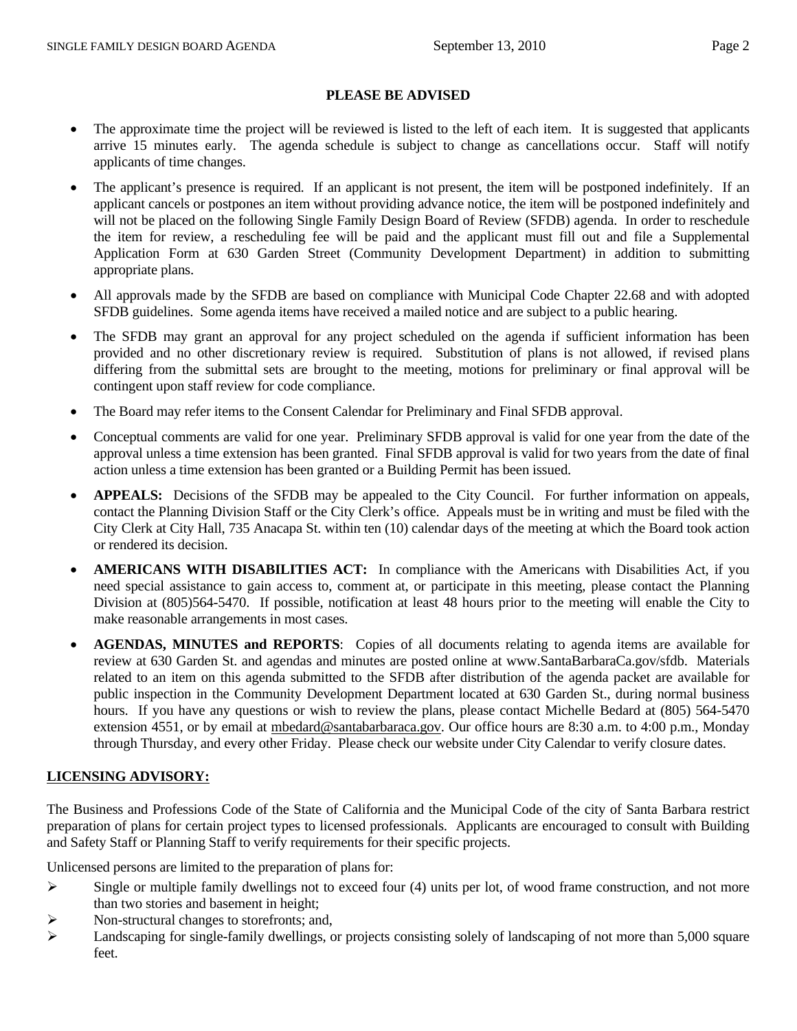## **PLEASE BE ADVISED**

- The approximate time the project will be reviewed is listed to the left of each item. It is suggested that applicants arrive 15 minutes early. The agenda schedule is subject to change as cancellations occur. Staff will notify applicants of time changes.
- The applicant's presence is required. If an applicant is not present, the item will be postponed indefinitely. If an applicant cancels or postpones an item without providing advance notice, the item will be postponed indefinitely and will not be placed on the following Single Family Design Board of Review (SFDB) agenda. In order to reschedule the item for review, a rescheduling fee will be paid and the applicant must fill out and file a Supplemental Application Form at 630 Garden Street (Community Development Department) in addition to submitting appropriate plans.
- All approvals made by the SFDB are based on compliance with Municipal Code Chapter 22.68 and with adopted SFDB guidelines. Some agenda items have received a mailed notice and are subject to a public hearing.
- The SFDB may grant an approval for any project scheduled on the agenda if sufficient information has been provided and no other discretionary review is required. Substitution of plans is not allowed, if revised plans differing from the submittal sets are brought to the meeting, motions for preliminary or final approval will be contingent upon staff review for code compliance.
- The Board may refer items to the Consent Calendar for Preliminary and Final SFDB approval.
- Conceptual comments are valid for one year. Preliminary SFDB approval is valid for one year from the date of the approval unless a time extension has been granted. Final SFDB approval is valid for two years from the date of final action unless a time extension has been granted or a Building Permit has been issued.
- **APPEALS:** Decisions of the SFDB may be appealed to the City Council. For further information on appeals, contact the Planning Division Staff or the City Clerk's office. Appeals must be in writing and must be filed with the City Clerk at City Hall, 735 Anacapa St. within ten (10) calendar days of the meeting at which the Board took action or rendered its decision.
- **AMERICANS WITH DISABILITIES ACT:** In compliance with the Americans with Disabilities Act, if you need special assistance to gain access to, comment at, or participate in this meeting, please contact the Planning Division at (805)564-5470. If possible, notification at least 48 hours prior to the meeting will enable the City to make reasonable arrangements in most cases.
- **AGENDAS, MINUTES and REPORTS**: Copies of all documents relating to agenda items are available for review at 630 Garden St. and agendas and minutes are posted online at www.SantaBarbaraCa.gov/sfdb. Materials related to an item on this agenda submitted to the SFDB after distribution of the agenda packet are available for public inspection in the Community Development Department located at 630 Garden St., during normal business hours. If you have any questions or wish to review the plans, please contact Michelle Bedard at (805) 564-5470 extension 4551, or by email at mbedard@santabarbaraca.gov. Our office hours are 8:30 a.m. to 4:00 p.m., Monday through Thursday, and every other Friday. Please check our website under City Calendar to verify closure dates.

# **LICENSING ADVISORY:**

The Business and Professions Code of the State of California and the Municipal Code of the city of Santa Barbara restrict preparation of plans for certain project types to licensed professionals. Applicants are encouraged to consult with Building and Safety Staff or Planning Staff to verify requirements for their specific projects.

Unlicensed persons are limited to the preparation of plans for:

- $\triangleright$  Single or multiple family dwellings not to exceed four (4) units per lot, of wood frame construction, and not more than two stories and basement in height;
- $\triangleright$  Non-structural changes to storefronts; and,
- $\blacktriangleright$  Landscaping for single-family dwellings, or projects consisting solely of landscaping of not more than 5,000 square feet.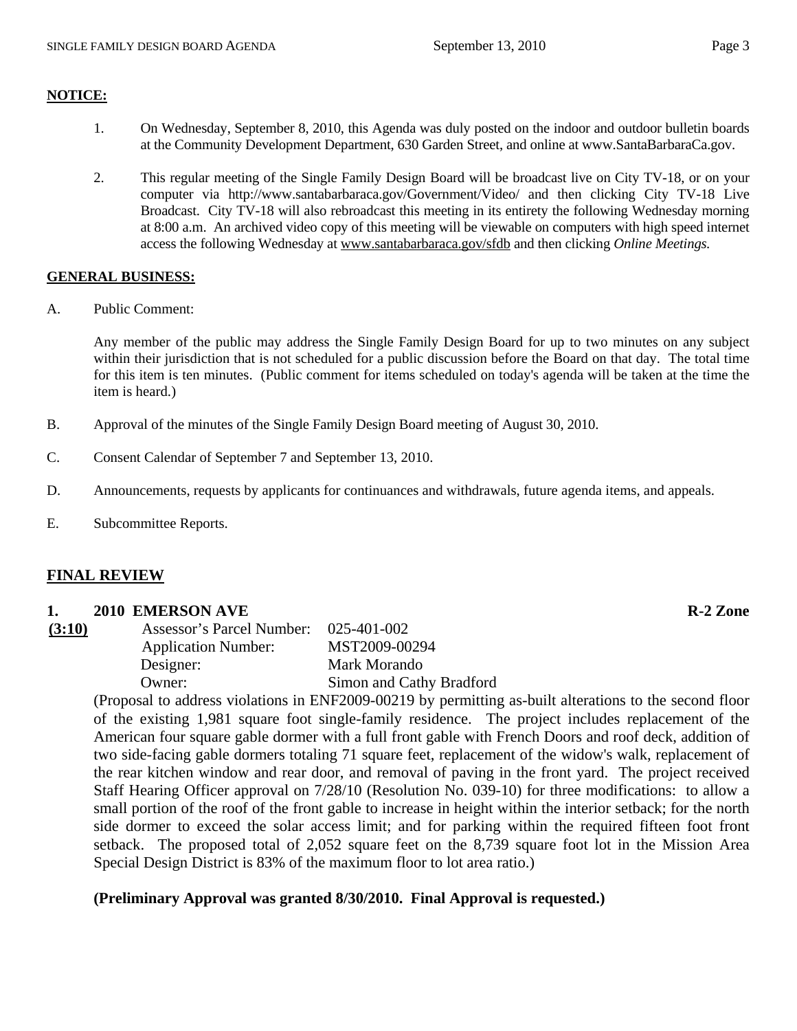#### **NOTICE:**

- 1. On Wednesday, September 8, 2010, this Agenda was duly posted on the indoor and outdoor bulletin boards at the Community Development Department, 630 Garden Street, and online at www.SantaBarbaraCa.gov.
- 2. This regular meeting of the Single Family Design Board will be broadcast live on City TV-18, or on your computer via http://www.santabarbaraca.gov/Government/Video/ and then clicking City TV-18 Live Broadcast. City TV-18 will also rebroadcast this meeting in its entirety the following Wednesday morning at 8:00 a.m. An archived video copy of this meeting will be viewable on computers with high speed internet access the following Wednesday at www.santabarbaraca.gov/sfdb and then clicking *Online Meetings.*

#### **GENERAL BUSINESS:**

A. Public Comment:

Any member of the public may address the Single Family Design Board for up to two minutes on any subject within their jurisdiction that is not scheduled for a public discussion before the Board on that day. The total time for this item is ten minutes. (Public comment for items scheduled on today's agenda will be taken at the time the item is heard.)

- B. Approval of the minutes of the Single Family Design Board meeting of August 30, 2010.
- C. Consent Calendar of September 7 and September 13, 2010.
- D. Announcements, requests by applicants for continuances and withdrawals, future agenda items, and appeals.
- E. Subcommittee Reports.

## **FINAL REVIEW**

#### **1.** 2010 EMERSON AVE R-2 Zone

| Assessor's Parcel Number:  | 025-401-002              |
|----------------------------|--------------------------|
| <b>Application Number:</b> | MST2009-00294            |
| Designer:                  | Mark Morando             |
| Owner:                     | Simon and Cathy Bradford |
|                            |                          |

(Proposal to address violations in ENF2009-00219 by permitting as-built alterations to the second floor of the existing 1,981 square foot single-family residence. The project includes replacement of the American four square gable dormer with a full front gable with French Doors and roof deck, addition of two side-facing gable dormers totaling 71 square feet, replacement of the widow's walk, replacement of the rear kitchen window and rear door, and removal of paving in the front yard. The project received Staff Hearing Officer approval on 7/28/10 (Resolution No. 039-10) for three modifications: to allow a small portion of the roof of the front gable to increase in height within the interior setback; for the north side dormer to exceed the solar access limit; and for parking within the required fifteen foot front setback. The proposed total of 2,052 square feet on the 8,739 square foot lot in the Mission Area Special Design District is 83% of the maximum floor to lot area ratio.)

## **(Preliminary Approval was granted 8/30/2010. Final Approval is requested.)**